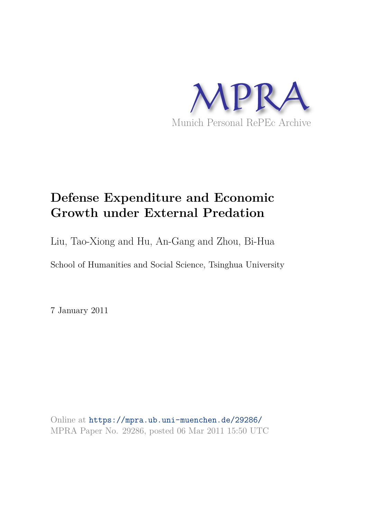

# **Defense Expenditure and Economic Growth under External Predation**

Liu, Tao-Xiong and Hu, An-Gang and Zhou, Bi-Hua

School of Humanities and Social Science, Tsinghua University

7 January 2011

Online at https://mpra.ub.uni-muenchen.de/29286/ MPRA Paper No. 29286, posted 06 Mar 2011 15:50 UTC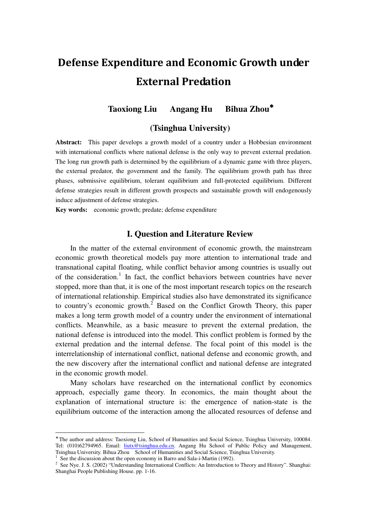# Defense Expenditure and Economic Growth under External Predation

# **Taoxiong Liu Angang Hu Bihua Zhou**<sup>∗</sup>

#### **(Tsinghua University)**

**Abstract:** This paper develops a growth model of a country under a Hobbesian environment with international conflicts where national defense is the only way to prevent external predation. The long run growth path is determined by the equilibrium of a dynamic game with three players, the external predator, the government and the family. The equilibrium growth path has three phases, submissive equilibrium, tolerant equilibrium and full-protected equilibrium. Different defense strategies result in different growth prospects and sustainable growth will endogenously induce adjustment of defense strategies.

**Key words:** economic growth; predate; defense expenditure

## **I. Question and Literature Review**

In the matter of the external environment of economic growth, the mainstream economic growth theoretical models pay more attention to international trade and transnational capital floating, while conflict behavior among countries is usually out of the consideration.<sup>1</sup> In fact, the conflict behaviors between countries have never stopped, more than that, it is one of the most important research topics on the research of international relationship. Empirical studies also have demonstrated its significance to country's economic growth.<sup>2</sup> Based on the Conflict Growth Theory, this paper makes a long term growth model of a country under the environment of international conflicts. Meanwhile, as a basic measure to prevent the external predation, the national defense is introduced into the model. This conflict problem is formed by the external predation and the internal defense. The focal point of this model is the interrelationship of international conflict, national defense and economic growth, and the new discovery after the international conflict and national defense are integrated in the economic growth model.

Many scholars have researched on the international conflict by economics approach, especially game theory. In economics, the main thought about the explanation of international structure is: the emergence of nation-state is the equilibrium outcome of the interaction among the allocated resources of defense and

 $\overline{a}$ 

<sup>∗</sup> The author and address: Taoxiong Liu, School of Humanities and Social Science, Tsinghua University, 100084. Tel: (010)62794965. Email: liutx@tsinghua.edu.cn. Angang Hu School of Public Policy and Management, Tsinghua University. Bihua Zhou School of Humanities and Social Science, Tsinghua University.

 $1$  See the discussion about the open economy in Barro and Sala-i-Martin (1992).

<sup>&</sup>lt;sup>2</sup> See Nye. J. S. (2002) "Understanding International Conflicts: An Introduction to Theory and History". Shanghai: Shanghai People Publishing House. pp. 1-16.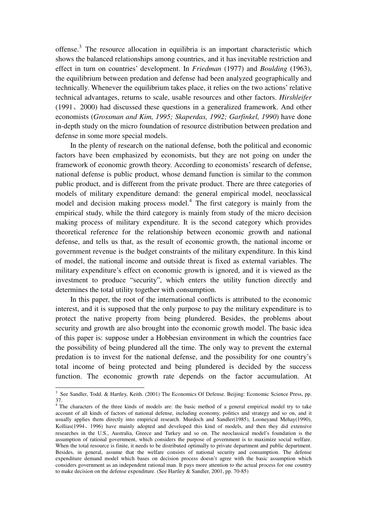offense.<sup>3</sup> The resource allocation in equilibria is an important characteristic which shows the balanced relationships among countries, and it has inevitable restriction and effect in turn on countries' development. In *Friedman* (1977) and *Boulding* (1963), the equilibrium between predation and defense had been analyzed geographically and technically. Whenever the equilibrium takes place, it relies on the two actions' relative technical advantages, returns to scale, usable resources and other factors. *Hirshleifer* (1991、2000) had discussed these questions in a generalized framework. And other economists (*Grossman and Kim, 1995; Skaperdas, 1992; Garfinkel, 1990*) have done in-depth study on the micro foundation of resource distribution between predation and defense in some more special models.

In the plenty of research on the national defense, both the political and economic factors have been emphasized by economists, but they are not going on under the framework of economic growth theory. According to economists' research of defense, national defense is public product, whose demand function is similar to the common public product, and is different from the private product. There are three categories of models of military expenditure demand: the general empirical model, neoclassical model and decision making process model.<sup>4</sup> The first category is mainly from the empirical study, while the third category is mainly from study of the micro decision making process of military expenditure. It is the second category which provides theoretical reference for the relationship between economic growth and national defense, and tells us that, as the result of economic growth, the national income or government revenue is the budget constraints of the military expenditure. In this kind of model, the national income and outside threat is fixed as external variables. The military expenditure's effect on economic growth is ignored, and it is viewed as the investment to produce "security", which enters the utility function directly and determines the total utility together with consumption.

In this paper, the root of the international conflicts is attributed to the economic interest, and it is supposed that the only purpose to pay the military expenditure is to protect the native property from being plundered. Besides, the problems about security and growth are also brought into the economic growth model. The basic idea of this paper is: suppose under a Hobbesian environment in which the countries face the possibility of being plundered all the time. The only way to prevent the external predation is to invest for the national defense, and the possibility for one country's total income of being protected and being plundered is decided by the success function. The economic growth rate depends on the factor accumulation. At

 3 See Sandler, Todd. & Hartley, Keith. (2001) The Economics Of Defense. Beijing: Economic Science Press, pp. 37.

<sup>&</sup>lt;sup>4</sup>The characters of the three kinds of models are: the basic method of a general empirical model try to take account of all kinds of factors of national defense, including economy, politics and strategy and so on, and it usually applies them directly into empirical research. Murdoch and Sandler(1985), Looneyand Mehay(1990), Kollias(1994、1996) have mainly adopted and developed this kind of models, and then they did extensive researches in the U.S., Australia, Greece and Turkey and so on. The neoclassical model's foundation is the assumption of rational government, which considers the purpose of government is to maximize social welfare. When the total resource is finite, it needs to be distributed optimally to private department and public department. Besides, in general, assume that the welfare consists of national security and consumption. The defense expenditure demand model which bases on decision process doesn't agree with the basic assumption which considers government as an independent rational man. It pays more attention to the actual process for one country to make decision on the defense expenditure. (See Hartley & Sandler, 2001, pp. 70-85)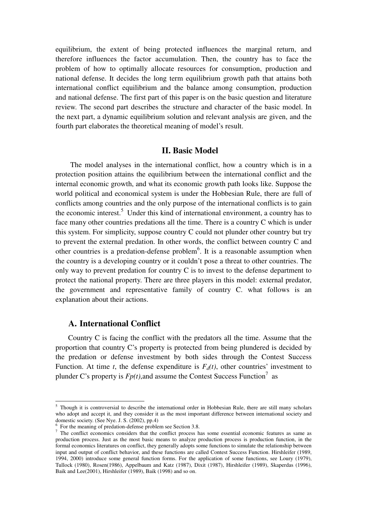equilibrium, the extent of being protected influences the marginal return, and therefore influences the factor accumulation. Then, the country has to face the problem of how to optimally allocate resources for consumption, production and national defense. It decides the long term equilibrium growth path that attains both international conflict equilibrium and the balance among consumption, production and national defense. The first part of this paper is on the basic question and literature review. The second part describes the structure and character of the basic model. In the next part, a dynamic equilibrium solution and relevant analysis are given, and the fourth part elaborates the theoretical meaning of model's result.

#### **II. Basic Model**

The model analyses in the international conflict, how a country which is in a protection position attains the equilibrium between the international conflict and the internal economic growth, and what its economic growth path looks like. Suppose the world political and economical system is under the Hobbesian Rule, there are full of conflicts among countries and the only purpose of the international conflicts is to gain the economic interest.<sup>5</sup> Under this kind of international environment, a country has to face many other countries predations all the time. There is a country C which is under this system. For simplicity, suppose country C could not plunder other country but try to prevent the external predation. In other words, the conflict between country C and other countries is a predation-defense problem<sup>6</sup>. It is a reasonable assumption when the country is a developing country or it couldn't pose a threat to other countries. The only way to prevent predation for country C is to invest to the defense department to protect the national property. There are three players in this model: external predator, the government and representative family of country C. what follows is an explanation about their actions.

## **A. International Conflict**

 $\overline{a}$ 

Country C is facing the conflict with the predators all the time. Assume that the proportion that country C's property is protected from being plundered is decided by the predation or defense investment by both sides through the Contest Success Function. At time *t*, the defense expenditure is  $F_d(t)$ , other countries' investment to plunder C's property is  $Fp(t)$ , and assume the Contest Success Function<sup>7</sup> as

<sup>&</sup>lt;sup>5</sup> Though it is controversial to describe the international order in Hobbesian Rule, there are still many scholars who adopt and accept it, and they consider it as the most important difference between international society and domestic society. (See Nye. J. S. (2002), pp.4)

<sup>6</sup> For the meaning of predation-defense problem see Section 3.8.

<sup>&</sup>lt;sup>7</sup> The conflict economics considers that the conflict process has some essential economic features as same as production process. Just as the most basic means to analyze production process is production function, in the formal economics literatures on conflict, they generally adopts some functions to simulate the relationship between input and output of conflict behavior, and these functions are called Contest Success Function. Hirshleifer (1989, 1994, 2000) introduce some general function forms. For the application of some functions, see Loury (1979), Tullock (1980), Rosen(1986), Appelbaum and Katz (1987), Dixit (1987), Hirshleifer (1989), Skaperdas (1996), Baik and Lee(2001), Hirshleifer (1989), Baik (1998) and so on.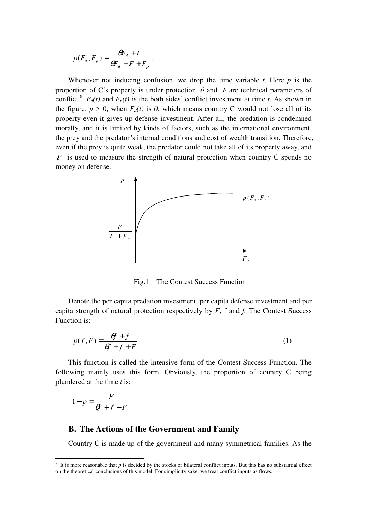$$
p(F_d, F_p) = \frac{\theta F_d + \overline{F}}{\theta F_d + \overline{F} + F_p}.
$$

Whenever not inducing confusion, we drop the time variable  $t$ . Here  $p$  is the proportion of C's property is under protection,  $\theta$  and  $\overline{F}$  are technical parameters of conflict.<sup>8</sup>  $F_d(t)$  and  $F_p(t)$  is the both sides' conflict investment at time *t*. As shown in the figure,  $p > 0$ , when  $F_d(t)$  is 0, which means country C would not lose all of its property even it gives up defense investment. After all, the predation is condemned morally, and it is limited by kinds of factors, such as the international environment, the prey and the predator's internal conditions and cost of wealth transition. Therefore, even if the prey is quite weak, the predator could not take all of its property away, and  $\overline{F}$  is used to measure the strength of natural protection when country C spends no money on defense.



Fig.1 The Contest Success Function

Denote the per capita predation investment, per capita defense investment and per capita strength of natural protection respectively by *F*, f and *f.* The Contest Success Function is:

$$
p(f, F) = \frac{\theta f + \bar{f}}{\theta f + \bar{f} + F}
$$
 (1)

This function is called the intensive form of the Contest Success Function. The following mainly uses this form. Obviously, the proportion of country C being plundered at the time *t* is:

$$
1 - p = \frac{F}{\theta f + \bar{f} + F}
$$

# **B. The Actions of the Government and Family**

Country C is made up of the government and many symmetrical families. As the

<sup>&</sup>lt;sup>8</sup> It is more reasonable that *p* is decided by the stocks of bilateral conflict inputs. But this has no substantial effect on the theoretical conclusions of this model. For simplicity sake, we treat conflict inputs as flows.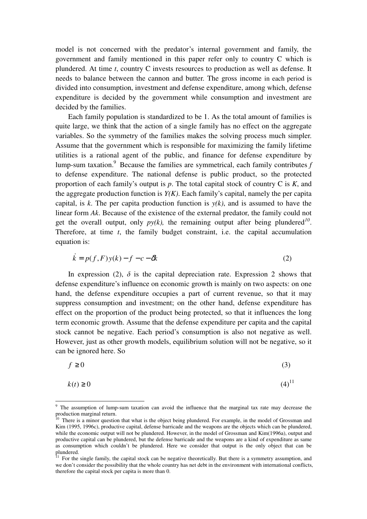model is not concerned with the predator's internal government and family, the government and family mentioned in this paper refer only to country C which is plundered. At time *t*, country C invests resources to production as well as defense. It needs to balance between the cannon and butter. The gross income in each period is divided into consumption, investment and defense expenditure, among which, defense expenditure is decided by the government while consumption and investment are decided by the families.

Each family population is standardized to be 1. As the total amount of families is quite large, we think that the action of a single family has no effect on the aggregate variables. So the symmetry of the families makes the solving process much simpler. Assume that the government which is responsible for maximizing the family lifetime utilities is a rational agent of the public, and finance for defense expenditure by lump-sum taxation.<sup>9</sup> Because the families are symmetrical, each family contributes *f* to defense expenditure. The national defense is public product, so the protected proportion of each family's output is *p*. The total capital stock of country C is *K*, and the aggregate production function is *Y(K)*. Each family's capital, namely the per capita capital, is *k*. The per capita production function is  $y(k)$ , and is assumed to have the linear form *Ak*. Because of the existence of the external predator, the family could not get the overall output, only  $py(k)$ , the remaining output after being plundered<sup>10</sup>. Therefore, at time *t*, the family budget constraint, i.e. the capital accumulation equation is:

$$
\dot{k} = p(f, F)y(k) - f - c - \delta k \tag{2}
$$

In expression (2),  $\delta$  is the capital depreciation rate. Expression 2 shows that defense expenditure's influence on economic growth is mainly on two aspects: on one hand, the defense expenditure occupies a part of current revenue, so that it may suppress consumption and investment; on the other hand, defense expenditure has effect on the proportion of the product being protected, so that it influences the long term economic growth. Assume that the defense expenditure per capita and the capital stock cannot be negative. Each period's consumption is also not negative as well. However, just as other growth models, equilibrium solution will not be negative, so it can be ignored here. So

$$
f \ge 0 \tag{3}
$$

$$
k(t) \ge 0 \tag{4}^{11}
$$

<sup>&</sup>lt;sup>9</sup> The assumption of lump-sum taxation can avoid the influence that the marginal tax rate may decrease the production marginal return.

There is a minor question that what is the object being plundered. For example, in the model of Grossman and Kim (1995, 1996c), productive capital, defense barricade and the weapons are the objects which can be plundered, while the economic output will not be plundered. However, in the model of Grossman and Kim(1996a), output and productive capital can be plundered, but the defense barricade and the weapons are a kind of expenditure as same as consumption which couldn't be plundered. Here we consider that output is the only object that can be plundered.

<sup>11</sup> For the single family, the capital stock can be negative theoretically. But there is a symmetry assumption, and we don't consider the possibility that the whole country has net debt in the environment with international conflicts, therefore the capital stock per capita is more than 0.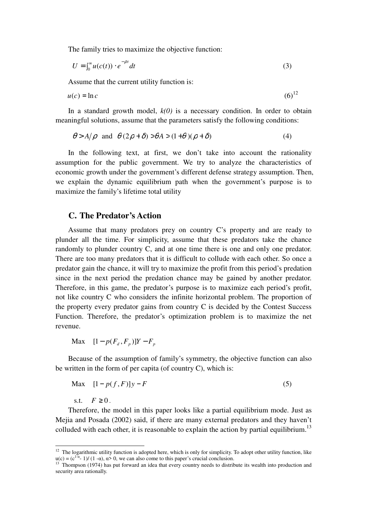The family tries to maximize the objective function:

$$
U = \int_0^\infty u(c(t)) \cdot e^{-\rho t} dt \tag{3}
$$

Assume that the current utility function is:

$$
u(c) = \ln c \tag{6}^{12}
$$

In a standard growth model,  $k(0)$  is a necessary condition. In order to obtain meaningful solutions, assume that the parameters satisfy the following conditions:

$$
\theta > A/\rho \quad \text{and} \quad \theta (2\rho + \delta) > \theta A > (1+\theta)(\rho + \delta) \tag{4}
$$

In the following text, at first, we don't take into account the rationality assumption for the public government. We try to analyze the characteristics of economic growth under the government's different defense strategy assumption. Then, we explain the dynamic equilibrium path when the government's purpose is to maximize the family's lifetime total utility

### **C. The Predator's Action**

Assume that many predators prey on country C's property and are ready to plunder all the time. For simplicity, assume that these predators take the chance randomly to plunder country C, and at one time there is one and only one predator. There are too many predators that it is difficult to collude with each other. So once a predator gain the chance, it will try to maximize the profit from this period's predation since in the next period the predation chance may be gained by another predator. Therefore, in this game, the predator's purpose is to maximize each period's profit, not like country C who considers the infinite horizontal problem. The proportion of the property every predator gains from country C is decided by the Contest Success Function. Therefore, the predator's optimization problem is to maximize the net revenue.

**Max**  $[1 - p(F_d, F_p)]Y - F_p$ 

Because of the assumption of family's symmetry, the objective function can also be written in the form of per capita (of country C), which is:

$$
\text{Max} \quad [1 - p(f, F)]y - F \tag{5}
$$

s.t.  $F \geq 0$ .

 $\overline{a}$ 

Therefore, the model in this paper looks like a partial equilibrium mode. Just as Mejia and Posada (2002) said, if there are many external predators and they haven't colluded with each other, it is reasonable to explain the action by partial equilibrium.<sup>13</sup>

<sup>&</sup>lt;sup>12</sup> The logarithmic utility function is adopted here, which is only for simplicity. To adopt other utility function, like  $u(c) = (c^{1-\alpha} - 1)/(1-\alpha)$ ,  $\alpha > 0$ , we can also come to this paper's crucial conclusion.

<sup>13</sup> Thompson (1974) has put forward an idea that every country needs to distribute its wealth into production and security area rationally.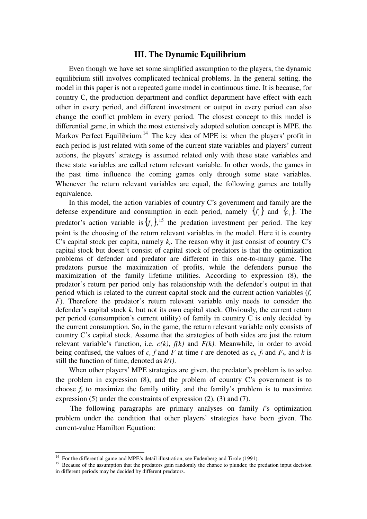#### **III. The Dynamic Equilibrium**

Even though we have set some simplified assumption to the players, the dynamic equilibrium still involves complicated technical problems. In the general setting, the model in this paper is not a repeated game model in continuous time. It is because, for country C, the production department and conflict department have effect with each other in every period, and different investment or output in every period can also change the conflict problem in every period. The closest concept to this model is differential game, in which the most extensively adopted solution concept is MPE, the Markov Perfect Equilibrium.<sup>14</sup> The key idea of MPE is: when the players' profit in each period is just related with some of the current state variables and players' current actions, the players' strategy is assumed related only with these state variables and these state variables are called return relevant variable. In other words, the games in the past time influence the coming games only through some state variables. Whenever the return relevant variables are equal, the following games are totally equivalence.

In this model, the action variables of country C's government and family are the defense expenditure and consumption in each period, namely  ${f_t}$  and  ${c_t}$ . The predator's action variable is  $\{f_t\}$ , <sup>15</sup> the predation investment per period. The key point is the choosing of the return relevant variables in the model. Here it is country C's capital stock per capita, namely  $k_t$ . The reason why it just consist of country C's capital stock but doesn't consist of capital stock of predators is that the optimization problems of defender and predator are different in this one-to-many game. The predators pursue the maximization of profits, while the defenders pursue the maximization of the family lifetime utilities. According to expression (8), the predator's return per period only has relationship with the defender's output in that period which is related to the current capital stock and the current action variables (*f, F*). Therefore the predator's return relevant variable only needs to consider the defender's capital stock *k*, but not its own capital stock. Obviously, the current return per period (consumption's current utility) of family in country C is only decided by the current consumption. So, in the game, the return relevant variable only consists of country C's capital stock. Assume that the strategies of both sides are just the return relevant variable's function, i.e.  $c(k)$ ,  $f(k)$  and  $F(k)$ . Meanwhile, in order to avoid being confused, the values of *c*, *f* and *F* at time *t* are denoted as  $c_t$ ,  $f_t$  and  $F_t$ , and  $k$  is still the function of time, denoted as *k(t)*.

When other players' MPE strategies are given, the predator's problem is to solve the problem in expression (8), and the problem of country C's government is to choose  $f_t$  to maximize the family utility, and the family's problem is to maximize expression (5) under the constraints of expression (2), (3) and (7).

The following paragraphs are primary analyses on family *i*'s optimization problem under the condition that other players' strategies have been given. The current-value Hamilton Equation:

 $\ddot{ }$ 

 $14$  For the differential game and MPE's detail illustration, see Fudenberg and Tirole (1991).

<sup>&</sup>lt;sup>15</sup> Because of the assumption that the predators gain randomly the chance to plunder, the predation input decision in different periods may be decided by different predators.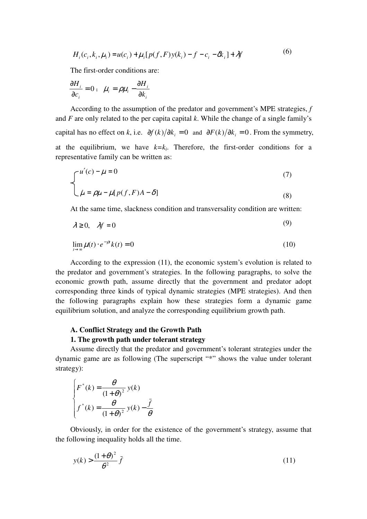$$
H_i(c_i, k_i, \mu_i) = u(c_i) + \mu_i [p(f, F)y(k_i) - f - c_i - \delta k_i] + \lambda f
$$
\n(6)

The first-order conditions are:

$$
\frac{\partial H_i}{\partial c_i} = 0 \; ; \; \; \dot{\mu}_i = \rho \mu_i - \frac{\partial H_i}{\partial k_i}
$$

According to the assumption of the predator and government's MPE strategies, *f* and *F* are only related to the per capita capital *k*. While the change of a single family's capital has no effect on *k*, i.e.  $\partial f(k)/\partial k_i = 0$  and  $\partial F(k)/\partial k_i = 0$ . From the symmetry, at the equilibrium, we have  $k=k_i$ . Therefore, the first-order conditions for a representative family can be written as:

$$
\begin{cases}\nu'(c) - \mu = 0 & (7) \\
\dot{\mu} = \rho \mu - \mu[p(f, F)A - \delta]\n\end{cases}
$$

At the same time, slackness condition and transversality condition are written:

$$
\lambda \ge 0, \quad \lambda f = 0 \tag{9}
$$

$$
\lim_{t \to \infty} \mu(t) \cdot e^{-\rho t} k(t) = 0 \tag{10}
$$

According to the expression (11), the economic system's evolution is related to the predator and government's strategies. In the following paragraphs, to solve the economic growth path, assume directly that the government and predator adopt corresponding three kinds of typical dynamic strategies (MPE strategies). And then the following paragraphs explain how these strategies form a dynamic game equilibrium solution, and analyze the corresponding equilibrium growth path.

#### **A. Conflict Strategy and the Growth Path**

#### **1. The growth path under tolerant strategy**

Assume directly that the predator and government's tolerant strategies under the dynamic game are as following (The superscript "\*" shows the value under tolerant strategy):

$$
\begin{cases}\nF^*(k) = \frac{\theta}{(1+\theta)^2} y(k) \\
f^*(k) = \frac{\theta}{(1+\theta)^2} y(k) - \frac{\overline{f}}{\theta}\n\end{cases}
$$

Obviously, in order for the existence of the government's strategy, assume that the following inequality holds all the time.

$$
y(k) > \frac{(1+\theta)^2}{\theta^2} \bar{f}
$$
 (11)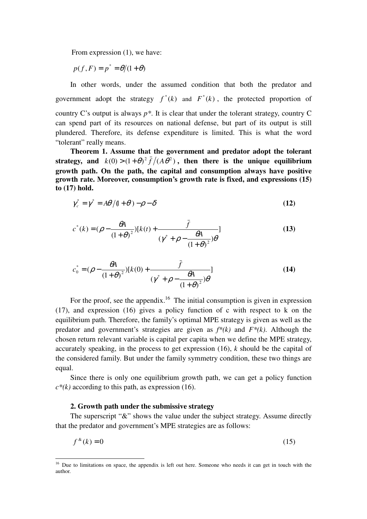From expression (1), we have:

 $p(f, F) = p^* = \theta/(1+\theta)$ 

In other words, under the assumed condition that both the predator and government adopt the strategy  $f^*(k)$  and  $F^*(k)$ , the protected proportion of country C's output is always *p\**. It is clear that under the tolerant strategy, country C can spend part of its resources on national defense, but part of its output is still plundered. Therefore, its defense expenditure is limited. This is what the word "tolerant" really means.

**Theorem 1. Assume that the government and predator adopt the tolerant**  strategy, and  $k(0) > (1 + \theta)^2 \bar{f} / (A\theta^2)$ , then there is the unique equilibrium **growth path. On the path, the capital and consumption always have positive growth rate. Moreover, consumption's growth rate is fixed, and expressions (15) to (17) hold.** 

$$
\gamma_c^* = \gamma^* = A\theta/(1+\theta) - \rho - \delta \tag{12}
$$

$$
c^*(k) = (\rho - \frac{\theta A}{(1+\theta)^2})[k(t) + \frac{\bar{f}}{(y^* + \rho - \frac{\theta A}{(1+\theta)^2})\theta}]
$$
(13)

$$
c_0^* = (\rho - \frac{\theta A}{(1+\theta)^2})[k(0) + \frac{\bar{f}}{(y^* + \rho - \frac{\theta A}{(1+\theta)^2})\theta}]
$$
(14)

For the proof, see the appendix.<sup>16</sup> The initial consumption is given in expression (17), and expression (16) gives a policy function of c with respect to k on the equilibrium path. Therefore, the family's optimal MPE strategy is given as well as the predator and government's strategies are given as *f\*(k)* and *F\*(k)*. Although the chosen return relevant variable is capital per capita when we define the MPE strategy, accurately speaking, in the process to get expression (16), *k* should be the capital of the considered family. But under the family symmetry condition, these two things are equal.

Since there is only one equilibrium growth path, we can get a policy function  $c^*(k)$  according to this path, as expression (16).

#### **2. Growth path under the submissive strategy**

 $\overline{a}$ 

The superscript "&" shows the value under the subject strategy. Assume directly that the predator and government's MPE strategies are as follows:

$$
f^{\mathcal{L}}(k) = 0 \tag{15}
$$

<sup>&</sup>lt;sup>16</sup> Due to limitations on space, the appendix is left out here. Someone who needs it can get in touch with the author.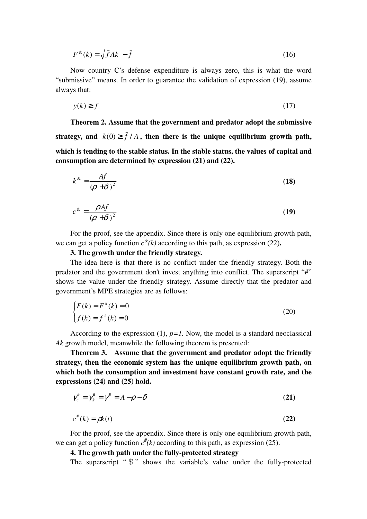$$
F^{\mathcal{R}}(k) = \sqrt{\bar{f}Ak} - \bar{f}
$$
 (16)

Now country C's defense expenditure is always zero, this is what the word "submissive" means. In order to guarantee the validation of expression (19), assume always that:

$$
y(k) \ge f \tag{17}
$$

**Theorem 2. Assume that the government and predator adopt the submissive**  strategy, and  $k(0) \ge \bar{f}/A$ , then there is the unique equilibrium growth path, **which is tending to the stable status. In the stable status, the values of capital and consumption are determined by expression (21) and (22).** 

$$
k^* = \frac{A\bar{f}}{(\rho + \delta)^2}
$$
 (18)

$$
c^* = \frac{\rho A \bar{f}}{(\rho + \delta)^2}
$$
 (19)

For the proof, see the appendix. Since there is only one equilibrium growth path, we can get a policy function  $c^{\mathcal{A}}(k)$  according to this path, as expression (22).

#### **3. The growth under the friendly strategy.**

The idea here is that there is no conflict under the friendly strategy. Both the predator and the government don't invest anything into conflict. The superscript "#" shows the value under the friendly strategy. Assume directly that the predator and government's MPE strategies are as follows:

$$
\begin{cases}\nF(k) = F^*(k) = 0 \\
f(k) = f^*(k) = 0\n\end{cases}
$$
\n(20)

According to the expression  $(1)$ ,  $p=1$ . Now, the model is a standard neoclassical *Ak* growth model, meanwhile the following theorem is presented:

**Theorem 3. Assume that the government and predator adopt the friendly strategy, then the economic system has the unique equilibrium growth path, on which both the consumption and investment have constant growth rate, and the expressions (24) and (25) hold.** 

$$
\gamma_c^{\text{#}} = \gamma_k^{\text{#}} = \gamma^{\text{#}} = A - \rho - \delta \tag{21}
$$

$$
c^{\#}(k) = \rho k(t) \tag{22}
$$

For the proof, see the appendix. Since there is only one equilibrium growth path, we can get a policy function  $c^*(k)$  according to this path, as expression (25).

### **4. The growth path under the fully-protected strategy**

The superscript " $\mathcal{S}$ " shows the variable's value under the fully-protected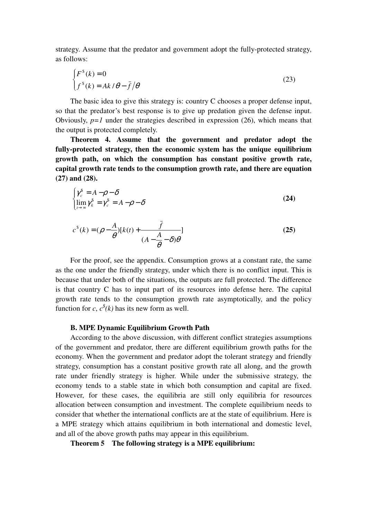strategy. Assume that the predator and government adopt the fully-protected strategy, as follows:

$$
\begin{cases} F^{\$}(k) = 0\\ f^{\$}(k) = Ak/\theta - \bar{f}/\theta \end{cases}
$$
\n(23)

The basic idea to give this strategy is: country C chooses a proper defense input, so that the predator's best response is to give up predation given the defense input. Obviously,  $p=1$  under the strategies described in expression (26), which means that the output is protected completely.

**Theorem 4. Assume that the government and predator adopt the fully-protected strategy, then the economic system has the unique equilibrium growth path, on which the consumption has constant positive growth rate, capital growth rate tends to the consumption growth rate, and there are equation (27) and (28).** 

$$
\begin{cases}\n\gamma_c^{\$} = A - \rho - \delta \\
\lim_{t \to \infty} \gamma_k^{\$} = \gamma_c^{\$} = A - \rho - \delta\n\end{cases}
$$
\n(24)

$$
c^{s}(k) = (\rho - \frac{A}{\theta})[k(t) + \frac{\bar{f}}{(A - \frac{A}{\theta} - \delta)\theta}]
$$
\n(25)

For the proof, see the appendix. Consumption grows at a constant rate, the same as the one under the friendly strategy, under which there is no conflict input. This is because that under both of the situations, the outputs are full protected. The difference is that country C has to input part of its resources into defense here. The capital growth rate tends to the consumption growth rate asymptotically, and the policy function for *c*,  $c^s$ (*k*) has its new form as well.

#### **B. MPE Dynamic Equilibrium Growth Path**

According to the above discussion, with different conflict strategies assumptions of the government and predator, there are different equilibrium growth paths for the economy. When the government and predator adopt the tolerant strategy and friendly strategy, consumption has a constant positive growth rate all along, and the growth rate under friendly strategy is higher. While under the submissive strategy, the economy tends to a stable state in which both consumption and capital are fixed. However, for these cases, the equilibria are still only equilibria for resources allocation between consumption and investment. The complete equilibrium needs to consider that whether the international conflicts are at the state of equilibrium. Here is a MPE strategy which attains equilibrium in both international and domestic level, and all of the above growth paths may appear in this equilibrium.

#### **Theorem 5 The following strategy is a MPE equilibrium:**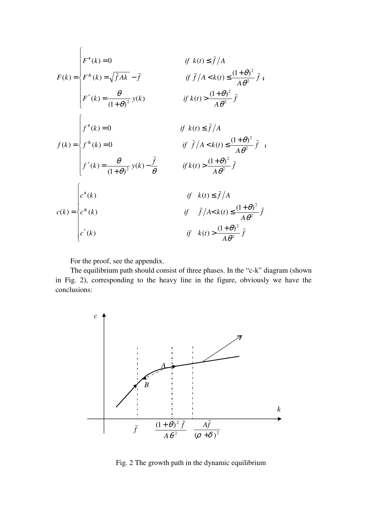$$
F(k) = \begin{cases} F^*(k) = 0 & \text{if } k(t) \le \bar{f}/A \\ F^*(k) = \sqrt{\bar{f}}Ak - \bar{f} & \text{if } \bar{f}/A < k(t) \le \frac{(1+\theta)^2}{A\theta^2} \bar{f} \\ F^*(k) = \frac{\theta}{(1+\theta)^2} y(k) & \text{if } k(t) > \frac{(1+\theta)^2}{A\theta^2} \bar{f} \end{cases}
$$
  

$$
f(k) = \begin{cases} f^*(k) = 0 & \text{if } k(t) \le \bar{f}/A \\ f^*(k) = 0 & \text{if } \bar{f}/A < k(t) \le \frac{(1+\theta)^2}{A\theta^2} \bar{f} \\ f^*(k) = \frac{\theta}{(1+\theta)^2} y(k) - \frac{\bar{f}}{\theta} & \text{if } k(t) > \frac{(1+\theta)^2}{A\theta^2} \bar{f} \end{cases}
$$
  

$$
c(k) = \begin{cases} c^*(k) & \text{if } k(t) \le \bar{f}/A \\ c^*(k) & \text{if } \bar{f}/A < k(t) \le \frac{(1+\theta)^2}{A\theta^2} \bar{f} \\ c^*(k) & \text{if } k(t) > \frac{(1+\theta)^2}{A\theta^2} \bar{f} \end{cases}
$$

For the proof, see the appendix.

The equilibrium path should consist of three phases. In the "c-k" diagram (shown in Fig. 2), corresponding to the heavy line in the figure, obviously we have the conclusions:



Fig. 2 The growth path in the dynamic equilibrium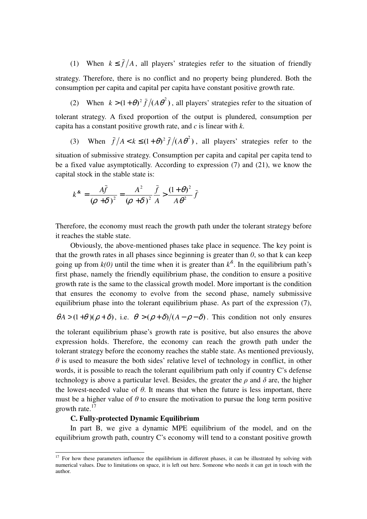(1) When  $k \leq \bar{f}/A$ , all players' strategies refer to the situation of friendly strategy. Therefore, there is no conflict and no property being plundered. Both the consumption per capita and capital per capita have constant positive growth rate.

(2) When  $k > (1 + \theta)^2 \bar{f}/(A\theta^2)$ , all players' strategies refer to the situation of tolerant strategy. A fixed proportion of the output is plundered, consumption per capita has a constant positive growth rate, and *c* is linear with *k*.

(3) When  $\bar{f}/A < k \leq (1+\theta)^2 \bar{f}/(A\theta^2)$ , all players' strategies refer to the situation of submissive strategy. Consumption per capita and capital per capita tend to be a fixed value asymptotically. According to expression (7) and (21), we know the capital stock in the stable state is:

$$
k^{\mathbf{x}} = \frac{A\bar{f}}{(\rho + \delta)^2} = \frac{A^2}{(\rho + \delta)^2} \frac{\bar{f}}{A} > \frac{(1 + \theta)^2}{A\theta^2} \bar{f}
$$

Therefore, the economy must reach the growth path under the tolerant strategy before it reaches the stable state.

Obviously, the above-mentioned phases take place in sequence. The key point is that the growth rates in all phases since beginning is greater than *0*, so that k can keep going up from  $k(0)$  until the time when it is greater than  $k^{\&}$ . In the equilibrium path's first phase, namely the friendly equilibrium phase, the condition to ensure a positive growth rate is the same to the classical growth model. More important is the condition that ensures the economy to evolve from the second phase, namely submissive equilibrium phase into the tolerant equilibrium phase. As part of the expression (7),

$$
\theta A > (1+\theta)(\rho+\delta)
$$
, i.e.  $\theta > (\rho+\delta)/(A-\rho-\delta)$ . This condition not only ensures

the tolerant equilibrium phase's growth rate is positive, but also ensures the above expression holds. Therefore, the economy can reach the growth path under the tolerant strategy before the economy reaches the stable state. As mentioned previously,  $\theta$  is used to measure the both sides' relative level of technology in conflict, in other words, it is possible to reach the tolerant equilibrium path only if country C's defense technology is above a particular level. Besides, the greater the  $\rho$  and  $\delta$  are, the higher the lowest-needed value of  $\theta$ . It means that when the future is less important, there must be a higher value of  $\theta$  to ensure the motivation to pursue the long term positive growth rate.<sup>17</sup>

#### **C. Fully-protected Dynamic Equilibrium**

 $\ddot{ }$ 

In part B, we give a dynamic MPE equilibrium of the model, and on the equilibrium growth path, country C's economy will tend to a constant positive growth

 $17$  For how these parameters influence the equilibrium in different phases, it can be illustrated by solving with numerical values. Due to limitations on space, it is left out here. Someone who needs it can get in touch with the author.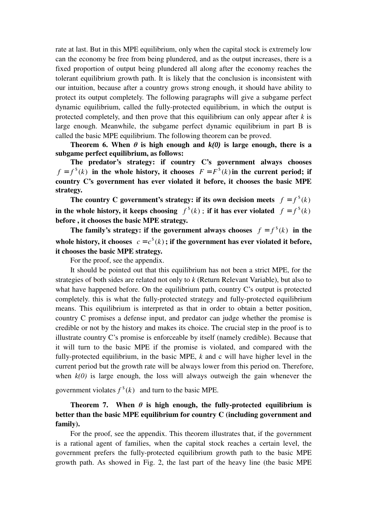rate at last. But in this MPE equilibrium, only when the capital stock is extremely low can the economy be free from being plundered, and as the output increases, there is a fixed proportion of output being plundered all along after the economy reaches the tolerant equilibrium growth path. It is likely that the conclusion is inconsistent with our intuition, because after a country grows strong enough, it should have ability to protect its output completely. The following paragraphs will give a subgame perfect dynamic equilibrium, called the fully-protected equilibrium, in which the output is protected completely, and then prove that this equilibrium can only appear after *k* is large enough. Meanwhile, the subgame perfect dynamic equilibrium in part B is called the basic MPE equilibrium. The following theorem can be proved.

**Theorem 6. When**  $\theta$  is high enough and  $k(\theta)$  is large enough, there is a **subgame perfect equilibrium, as follows:** 

**The predator's strategy: if country C's government always chooses**   $f = f^s(k)$  in the whole history, it chooses  $F = F^s(k)$  in the current period; if **country C's government has ever violated it before, it chooses the basic MPE strategy.** 

**The country C government's strategy: if its own decision meets**  $f = f^s(k)$ in the whole history, it keeps choosing  $f^s(k)$ ; if it has ever violated  $f = f^s(k)$ **before , it chooses the basic MPE strategy.** 

The family's strategy: if the government always chooses  $f = f^s(k)$  in the whole history, it chooses  $c = c^s(k)$ ; if the government has ever violated it before, **it chooses the basic MPE strategy.** 

For the proof, see the appendix.

It should be pointed out that this equilibrium has not been a strict MPE, for the strategies of both sides are related not only to *k* (Return Relevant Variable), but also to what have happened before. On the equilibrium path, country C's output is protected completely. this is what the fully-protected strategy and fully-protected equilibrium means. This equilibrium is interpreted as that in order to obtain a better position, country C promises a defense input, and predator can judge whether the promise is credible or not by the history and makes its choice. The crucial step in the proof is to illustrate country C's promise is enforceable by itself (namely credible). Because that it will turn to the basic MPE if the promise is violated, and compared with the fully-protected equilibrium, in the basic MPE, *k* and c will have higher level in the current period but the growth rate will be always lower from this period on. Therefore, when  $k(0)$  is large enough, the loss will always outweigh the gain whenever the

government violates  $f^*(k)$  and turn to the basic MPE.

# **Theorem 7.** When  $\theta$  is high enough, the fully-protected equilibrium is **better than the basic MPE equilibrium for country C (including government and family).**

For the proof, see the appendix. This theorem illustrates that, if the government is a rational agent of families, when the capital stock reaches a certain level, the government prefers the fully-protected equilibrium growth path to the basic MPE growth path. As showed in Fig. 2, the last part of the heavy line (the basic MPE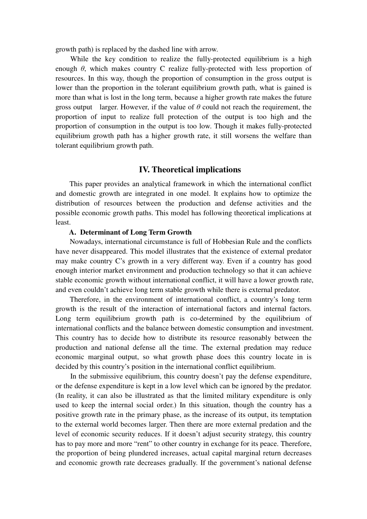growth path) is replaced by the dashed line with arrow.

While the key condition to realize the fully-protected equilibrium is a high enough  $\theta$ , which makes country C realize fully-protected with less proportion of resources. In this way, though the proportion of consumption in the gross output is lower than the proportion in the tolerant equilibrium growth path, what is gained is more than what is lost in the long term, because a higher growth rate makes the future gross output larger. However, if the value of  $\theta$  could not reach the requirement, the proportion of input to realize full protection of the output is too high and the proportion of consumption in the output is too low. Though it makes fully-protected equilibrium growth path has a higher growth rate, it still worsens the welfare than tolerant equilibrium growth path.

#### **IV. Theoretical implications**

This paper provides an analytical framework in which the international conflict and domestic growth are integrated in one model. It explains how to optimize the distribution of resources between the production and defense activities and the possible economic growth paths. This model has following theoretical implications at least.

#### **A. Determinant of Long Term Growth**

Nowadays, international circumstance is full of Hobbesian Rule and the conflicts have never disappeared. This model illustrates that the existence of external predator may make country C's growth in a very different way. Even if a country has good enough interior market environment and production technology so that it can achieve stable economic growth without international conflict, it will have a lower growth rate, and even couldn't achieve long term stable growth while there is external predator.

Therefore, in the environment of international conflict, a country's long term growth is the result of the interaction of international factors and internal factors. Long term equilibrium growth path is co-determined by the equilibrium of international conflicts and the balance between domestic consumption and investment. This country has to decide how to distribute its resource reasonably between the production and national defense all the time. The external predation may reduce economic marginal output, so what growth phase does this country locate in is decided by this country's position in the international conflict equilibrium.

In the submissive equilibrium, this country doesn't pay the defense expenditure, or the defense expenditure is kept in a low level which can be ignored by the predator. (In reality, it can also be illustrated as that the limited military expenditure is only used to keep the internal social order.) In this situation, though the country has a positive growth rate in the primary phase, as the increase of its output, its temptation to the external world becomes larger. Then there are more external predation and the level of economic security reduces. If it doesn't adjust security strategy, this country has to pay more and more "rent" to other country in exchange for its peace. Therefore, the proportion of being plundered increases, actual capital marginal return decreases and economic growth rate decreases gradually. If the government's national defense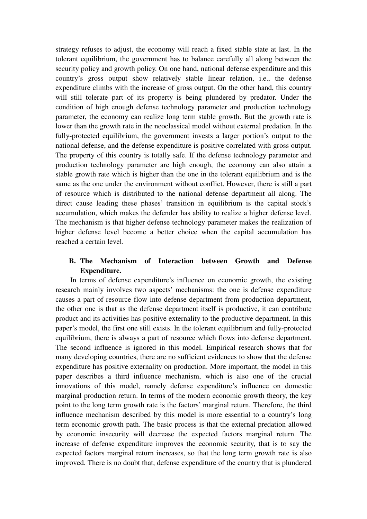strategy refuses to adjust, the economy will reach a fixed stable state at last. In the tolerant equilibrium, the government has to balance carefully all along between the security policy and growth policy. On one hand, national defense expenditure and this country's gross output show relatively stable linear relation, i.e., the defense expenditure climbs with the increase of gross output. On the other hand, this country will still tolerate part of its property is being plundered by predator. Under the condition of high enough defense technology parameter and production technology parameter, the economy can realize long term stable growth. But the growth rate is lower than the growth rate in the neoclassical model without external predation. In the fully-protected equilibrium, the government invests a larger portion's output to the national defense, and the defense expenditure is positive correlated with gross output. The property of this country is totally safe. If the defense technology parameter and production technology parameter are high enough, the economy can also attain a stable growth rate which is higher than the one in the tolerant equilibrium and is the same as the one under the environment without conflict. However, there is still a part of resource which is distributed to the national defense department all along. The direct cause leading these phases' transition in equilibrium is the capital stock's accumulation, which makes the defender has ability to realize a higher defense level. The mechanism is that higher defense technology parameter makes the realization of higher defense level become a better choice when the capital accumulation has reached a certain level.

# **B. The Mechanism of Interaction between Growth and Defense Expenditure.**

In terms of defense expenditure's influence on economic growth, the existing research mainly involves two aspects' mechanisms: the one is defense expenditure causes a part of resource flow into defense department from production department, the other one is that as the defense department itself is productive, it can contribute product and its activities has positive externality to the productive department. In this paper's model, the first one still exists. In the tolerant equilibrium and fully-protected equilibrium, there is always a part of resource which flows into defense department. The second influence is ignored in this model. Empirical research shows that for many developing countries, there are no sufficient evidences to show that the defense expenditure has positive externality on production. More important, the model in this paper describes a third influence mechanism, which is also one of the crucial innovations of this model, namely defense expenditure's influence on domestic marginal production return. In terms of the modern economic growth theory, the key point to the long term growth rate is the factors' marginal return. Therefore, the third influence mechanism described by this model is more essential to a country's long term economic growth path. The basic process is that the external predation allowed by economic insecurity will decrease the expected factors marginal return. The increase of defense expenditure improves the economic security, that is to say the expected factors marginal return increases, so that the long term growth rate is also improved. There is no doubt that, defense expenditure of the country that is plundered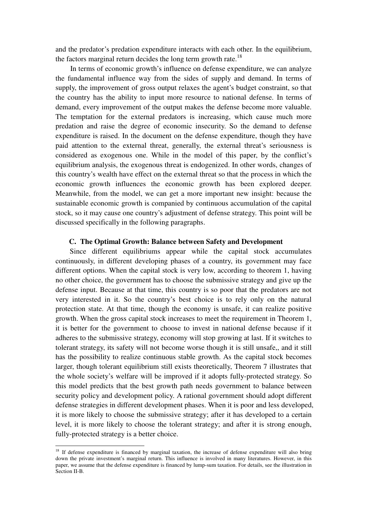and the predator's predation expenditure interacts with each other. In the equilibrium, the factors marginal return decides the long term growth rate.<sup>18</sup>

In terms of economic growth's influence on defense expenditure, we can analyze the fundamental influence way from the sides of supply and demand. In terms of supply, the improvement of gross output relaxes the agent's budget constraint, so that the country has the ability to input more resource to national defense. In terms of demand, every improvement of the output makes the defense become more valuable. The temptation for the external predators is increasing, which cause much more predation and raise the degree of economic insecurity. So the demand to defense expenditure is raised. In the document on the defense expenditure, though they have paid attention to the external threat, generally, the external threat's seriousness is considered as exogenous one. While in the model of this paper, by the conflict's equilibrium analysis, the exogenous threat is endogenized. In other words, changes of this country's wealth have effect on the external threat so that the process in which the economic growth influences the economic growth has been explored deeper. Meanwhile, from the model, we can get a more important new insight: because the sustainable economic growth is companied by continuous accumulation of the capital stock, so it may cause one country's adjustment of defense strategy. This point will be discussed specifically in the following paragraphs.

#### **C. The Optimal Growth: Balance between Safety and Development**

Since different equilibriums appear while the capital stock accumulates continuously, in different developing phases of a country, its government may face different options. When the capital stock is very low, according to theorem 1, having no other choice, the government has to choose the submissive strategy and give up the defense input. Because at that time, this country is so poor that the predators are not very interested in it. So the country's best choice is to rely only on the natural protection state. At that time, though the economy is unsafe, it can realize positive growth. When the gross capital stock increases to meet the requirement in Theorem 1, it is better for the government to choose to invest in national defense because if it adheres to the submissive strategy, economy will stop growing at last. If it switches to tolerant strategy, its safety will not become worse though it is still unsafe,, and it still has the possibility to realize continuous stable growth. As the capital stock becomes larger, though tolerant equilibrium still exists theoretically, Theorem 7 illustrates that the whole society's welfare will be improved if it adopts fully-protected strategy. So this model predicts that the best growth path needs government to balance between security policy and development policy. A rational government should adopt different defense strategies in different development phases. When it is poor and less developed, it is more likely to choose the submissive strategy; after it has developed to a certain level, it is more likely to choose the tolerant strategy; and after it is strong enough, fully-protected strategy is a better choice.

 $\overline{a}$ 

<sup>&</sup>lt;sup>18</sup> If defense expenditure is financed by marginal taxation, the increase of defense expenditure will also bring down the private investment's marginal return. This influence is involved in many literatures. However, in this paper, we assume that the defense expenditure is financed by lump-sum taxation. For details, see the illustration in Section II-B.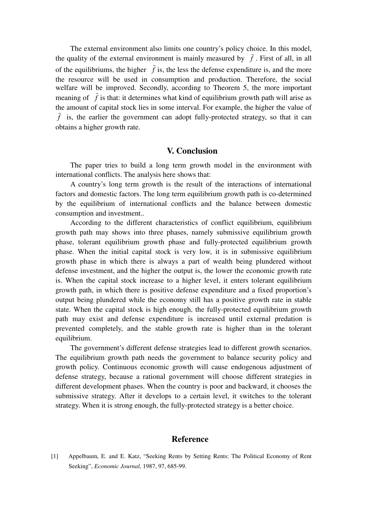The external environment also limits one country's policy choice. In this model, the quality of the external environment is mainly measured by  $\bar{f}$ . First of all, in all of the equilibriums, the higher  $\bar{f}$  is, the less the defense expenditure is, and the more the resource will be used in consumption and production. Therefore, the social welfare will be improved. Secondly, according to Theorem 5, the more important meaning of  $\bar{f}$  is that: it determines what kind of equilibrium growth path will arise as the amount of capital stock lies in some interval. For example, the higher the value of *f* is, the earlier the government can adopt fully-protected strategy, so that it can obtains a higher growth rate.

#### **V. Conclusion**

The paper tries to build a long term growth model in the environment with international conflicts. The analysis here shows that:

A country's long term growth is the result of the interactions of international factors and domestic factors. The long term equilibrium growth path is co-determined by the equilibrium of international conflicts and the balance between domestic consumption and investment..

According to the different characteristics of conflict equilibrium, equilibrium growth path may shows into three phases, namely submissive equilibrium growth phase, tolerant equilibrium growth phase and fully-protected equilibrium growth phase. When the initial capital stock is very low, it is in submissive equilibrium growth phase in which there is always a part of wealth being plundered without defense investment, and the higher the output is, the lower the economic growth rate is. When the capital stock increase to a higher level, it enters tolerant equilibrium growth path, in which there is positive defense expenditure and a fixed proportion's output being plundered while the economy still has a positive growth rate in stable state. When the capital stock is high enough, the fully-protected equilibrium growth path may exist and defense expenditure is increased until external predation is prevented completely, and the stable growth rate is higher than in the tolerant equilibrium.

The government's different defense strategies lead to different growth scenarios. The equilibrium growth path needs the government to balance security policy and growth policy. Continuous economic growth will cause endogenous adjustment of defense strategy, because a rational government will choose different strategies in different development phases. When the country is poor and backward, it chooses the submissive strategy. After it develops to a certain level, it switches to the tolerant strategy. When it is strong enough, the fully-protected strategy is a better choice.

#### **Reference**

[1] Appelbaum, E. and E. Katz, "Seeking Rents by Setting Rents: The Political Economy of Rent Seeking", *Economic Journal,* 1987, 97, 685-99.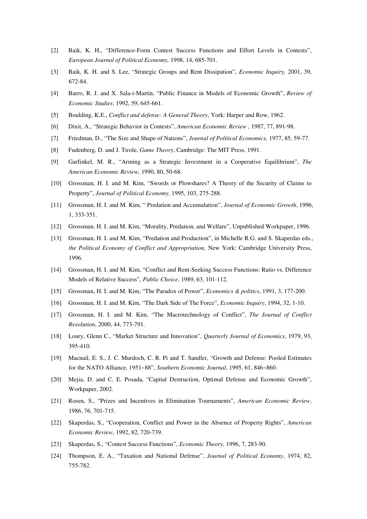- [2] Baik, K. H., "Difference-Form Contest Success Functions and Effort Levels in Contests", *European Journal of Political Economy,* 1998, 14, 685-701.
- [3] Baik, K. H. and S. Lee, "Strategic Groups and Rent Dissipation", *Economic Inquiry,* 2001, 39, 672-84.
- [4] Barro, R. J. and X. Sala-i-Martin, "Public Finance in Models of Economic Growth", *Review of Economic Studies*, 1992, 59, 645-661.
- [5] Boulding, K.E., *Conflict and defense: A General Theory*, York: Harper and Row, 1962.
- [6] Dixit, A., "Strategic Behavior in Contests", *American Economic Review* , 1987, 77, 891-98.
- [7] Friedman, D., "The Size and Shape of Nations", *Journal of Political Economics,* 1977, 85, 59-77.
- [8] Fudenberg, D. and J. Tirole, *Game Theory*, Cambridge: The MIT Press, 1991.
- [9] Garfinkel, M. R., "Arming as a Strategic Investment in a Cooperative Equilibrium", *The American Economic Review,* 1990, 80, 50-68.
- [10] Grossman, H. I. and M. Kim, "Swords or Plowshares? A Theory of the Security of Claims to Property", *Journal of Political Economy*, 1995, 103, 275-288.
- [11] Grossman, H. I. and M. Kim, " Predation and Accumulation", *Journal of Economic Growth*, 1996, 1, 333-351.
- [12] Grossman, H. I. and M. Kim, "Morality, Predation, and Welfare", Unpublished Workpaper, 1996.
- [13] Grossman, H. I. and M. Kim, "Predation and Production", in Michelle R.G. and S. Skaperdas eds., *the Political Economy of Conflict and Appropriation,* New York: Cambridge University Press, 1996.
- [14] Grossman, H. I. and M. Kim, "Conflict and Rent-Seeking Success Functions: Ratio vs. Difference Models of Relative Success", *Public Choice*, 1989, 63, 101-112.
- [15] Grossman, H. I. and M. Kim, "The Paradox of Power", *Economics & politics*, 1991, 3, 177-200.
- [16] Grossman, H. I. and M. Kim, "The Dark Side of The Force", *Economic Inquiry*, 1994, 32, 1-10.
- [17] Grossman, H. I. and M. Kim, "The Macrotechnology of Conflict", *The Journal of Conflict Resolution*, 2000, 44, 773-791.
- [18] Loury, Glenn C., "Market Structure and Innovation", *Quarterly Journal of Economics*, 1979, 93, 395-410.
- [19] Macnail, E. S., J. C. Murdoch, C. R. Pi and T. Sandler, "Growth and Defense: Pooled Estimates for the NATO Alliance, 1951~88", *Southern Economic Journal*, 1995, 61, 846~860.
- [20] Mejia, D. and C. E. Posada, "Capital Destruction, Optimal Defense and Economic Growth", Workpaper, 2002.
- [21] Rosen, S., "Prizes and Incentives in Elimination Tournaments", *American Economic Review*, 1986, 76, 701-715.
- [22] Skaperdas, S., "Cooperation, Conflict and Power in the Absence of Property Rights", *American Economic Review*, 1992, 82, 720-739.
- [23] Skaperdas, S., "Contest Success Functions", *Economic Theory*, 1996, 7, 283-90.
- [24] Thompson, E. A., "Taxation and National Defense", *Journal of Political Economy*, 1974, 82, 755-782.